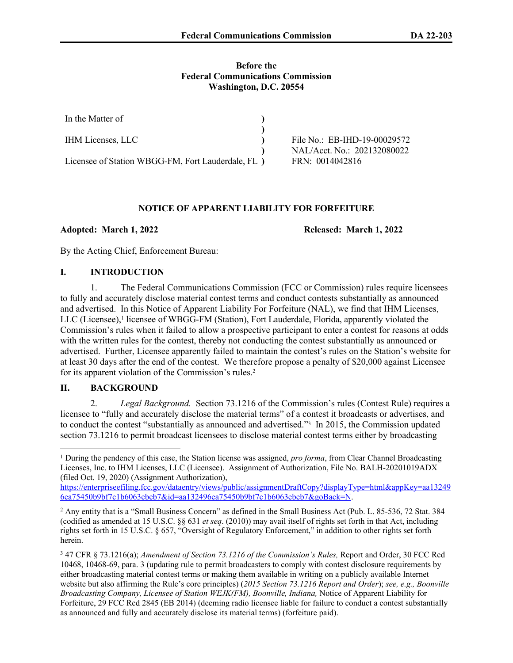### **Before the Federal Communications Commission Washington, D.C. 20554**

| In the Matter of                                   |                              |
|----------------------------------------------------|------------------------------|
|                                                    |                              |
| <b>IHM Licenses, LLC</b>                           | File No.: EB-IHD-19-00029572 |
|                                                    | NAL/Acct. No.: 202132080022  |
| Licensee of Station WBGG-FM, Fort Lauderdale, FL ) | FRN: 0014042816              |

### **NOTICE OF APPARENT LIABILITY FOR FORFEITURE**

**Adopted: March 1, 2022 Released: March 1, 2022** 

By the Acting Chief, Enforcement Bureau:

# **I. INTRODUCTION**

1. The Federal Communications Commission (FCC or Commission) rules require licensees to fully and accurately disclose material contest terms and conduct contests substantially as announced and advertised. In this Notice of Apparent Liability For Forfeiture (NAL), we find that IHM Licenses, LLC (Licensee),<sup>1</sup> licensee of WBGG-FM (Station), Fort Lauderdale, Florida, apparently violated the Commission's rules when it failed to allow a prospective participant to enter a contest for reasons at odds with the written rules for the contest, thereby not conducting the contest substantially as announced or advertised. Further, Licensee apparently failed to maintain the contest's rules on the Station's website for at least 30 days after the end of the contest. We therefore propose a penalty of \$20,000 against Licensee for its apparent violation of the Commission's rules.<sup>2</sup>

# **II. BACKGROUND**

2. *Legal Background.* Section 73.1216 of the Commission's rules (Contest Rule) requires a licensee to "fully and accurately disclose the material terms" of a contest it broadcasts or advertises, and to conduct the contest "substantially as announced and advertised."<sup>3</sup> In 2015, the Commission updated section 73.1216 to permit broadcast licensees to disclose material contest terms either by broadcasting

<sup>&</sup>lt;sup>1</sup> During the pendency of this case, the Station license was assigned, *pro forma*, from Clear Channel Broadcasting Licenses, Inc. to IHM Licenses, LLC (Licensee). Assignment of Authorization, File No. BALH-20201019ADX (filed Oct. 19, 2020) (Assignment Authorization),

[https://enterpriseefiling.fcc.gov/dataentry/views/public/assignmentDraftCopy?displayType=html&appKey=aa13249](https://enterpriseefiling.fcc.gov/dataentry/views/public/assignmentDraftCopy?displayType=html&appKey=aa132496ea75450b9bf7c1b6063ebeb7&id=aa132496ea75450b9bf7c1b6063ebeb7&goBack=N) [6ea75450b9bf7c1b6063ebeb7&id=aa132496ea75450b9bf7c1b6063ebeb7&goBack=N](https://enterpriseefiling.fcc.gov/dataentry/views/public/assignmentDraftCopy?displayType=html&appKey=aa132496ea75450b9bf7c1b6063ebeb7&id=aa132496ea75450b9bf7c1b6063ebeb7&goBack=N).

<sup>2</sup> Any entity that is a "Small Business Concern" as defined in the Small Business Act (Pub. L. 85-536, 72 Stat. 384 (codified as amended at 15 U.S.C. §§ 631 *et seq*. (2010)) may avail itself of rights set forth in that Act, including rights set forth in 15 U.S.C. § 657, "Oversight of Regulatory Enforcement," in addition to other rights set forth herein.

<sup>3</sup> 47 CFR § 73.1216(a); *Amendment of Section 73.1216 of the Commission's Rules,* Report and Order, 30 FCC Rcd 10468, 10468-69, para. 3 (updating rule to permit broadcasters to comply with contest disclosure requirements by either broadcasting material contest terms or making them available in writing on a publicly available Internet website but also affirming the Rule's core principles) (*2015 Section 73.1216 Report and Order*); *see, e.g., Boonville Broadcasting Company, Licensee of Station WEJK(FM), Boonville, Indiana,* Notice of Apparent Liability for Forfeiture, 29 FCC Rcd 2845 (EB 2014) (deeming radio licensee liable for failure to conduct a contest substantially as announced and fully and accurately disclose its material terms) (forfeiture paid).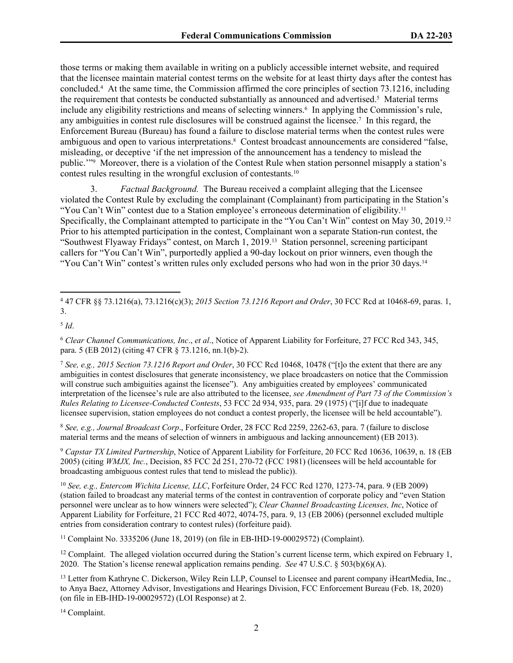those terms or making them available in writing on a publicly accessible internet website, and required that the licensee maintain material contest terms on the website for at least thirty days after the contest has concluded.<sup>4</sup> At the same time, the Commission affirmed the core principles of section 73.1216, including the requirement that contests be conducted substantially as announced and advertised.<sup>5</sup> Material terms include any eligibility restrictions and means of selecting winners.<sup>6</sup> In applying the Commission's rule, any ambiguities in contest rule disclosures will be construed against the licensee.<sup>7</sup> In this regard, the Enforcement Bureau (Bureau) has found a failure to disclose material terms when the contest rules were ambiguous and open to various interpretations.<sup>8</sup> Contest broadcast announcements are considered "false, misleading, or deceptive 'if the net impression of the announcement has a tendency to mislead the public.'"<sup>9</sup> Moreover, there is a violation of the Contest Rule when station personnel misapply a station's contest rules resulting in the wrongful exclusion of contestants.<sup>10</sup>

3. *Factual Background.* The Bureau received a complaint alleging that the Licensee violated the Contest Rule by excluding the complainant (Complainant) from participating in the Station's "You Can't Win" contest due to a Station employee's erroneous determination of eligibility.<sup>11</sup> Specifically, the Complainant attempted to participate in the "You Can't Win" contest on May 30, 2019.<sup>12</sup> Prior to his attempted participation in the contest, Complainant won a separate Station-run contest, the "Southwest Flyaway Fridays" contest, on March 1, 2019.13 Station personnel, screening participant callers for "You Can't Win", purportedly applied a 90-day lockout on prior winners, even though the "You Can't Win" contest's written rules only excluded persons who had won in the prior 30 days.<sup>14</sup>

<sup>8</sup> *See, e.g., Journal Broadcast Corp*., Forfeiture Order, 28 FCC Rcd 2259, 2262-63, para. 7 (failure to disclose material terms and the means of selection of winners in ambiguous and lacking announcement) (EB 2013).

<sup>9</sup> *Capstar TX Limited Partnership*, Notice of Apparent Liability for Forfeiture, 20 FCC Rcd 10636, 10639, n. 18 (EB 2005) (citing *WMJX, Inc.*, Decision, 85 FCC 2d 251, 270-72 (FCC 1981) (licensees will be held accountable for broadcasting ambiguous contest rules that tend to mislead the public)).

<sup>10</sup> *See, e.g., Entercom Wichita License, LLC*, Forfeiture Order, 24 FCC Rcd 1270, 1273-74, para. 9 (EB 2009) (station failed to broadcast any material terms of the contest in contravention of corporate policy and "even Station personnel were unclear as to how winners were selected"); *Clear Channel Broadcasting Licenses, Inc*, Notice of Apparent Liability for Forfeiture, 21 FCC Rcd 4072, 4074-75, para. 9, 13 (EB 2006) (personnel excluded multiple entries from consideration contrary to contest rules) (forfeiture paid).

<sup>11</sup> Complaint No. 3335206 (June 18, 2019) (on file in EB-IHD-19-00029572) (Complaint).

<sup>12</sup> Complaint. The alleged violation occurred during the Station's current license term, which expired on February 1, 2020. The Station's license renewal application remains pending. *See* 47 U.S.C. § 503(b)(6)(A).

<sup>13</sup> Letter from Kathryne C. Dickerson, Wiley Rein LLP, Counsel to Licensee and parent company iHeartMedia, Inc., to Anya Baez, Attorney Advisor, Investigations and Hearings Division, FCC Enforcement Bureau (Feb. 18, 2020) (on file in EB-IHD-19-00029572) (LOI Response) at 2.

14 Complaint.

<sup>4</sup> 47 CFR §§ 73.1216(a), 73.1216(c)(3); *2015 Section 73.1216 Report and Order*, 30 FCC Rcd at 10468-69, paras. 1, 3.

<sup>5</sup> *Id*.

<sup>6</sup> *Clear Channel Communications, Inc*., *et al*., Notice of Apparent Liability for Forfeiture, 27 FCC Rcd 343, 345, para. 5 (EB 2012) (citing 47 CFR § 73.1216, nn.1(b)-2).

<sup>7</sup> *See, e.g., 2015 Section 73.1216 Report and Order*, 30 FCC Rcd 10468, 10478 ("[t]o the extent that there are any ambiguities in contest disclosures that generate inconsistency, we place broadcasters on notice that the Commission will construe such ambiguities against the licensee"). Any ambiguities created by employees' communicated interpretation of the licensee's rule are also attributed to the licensee, *see Amendment of Part 73 of the Commission's Rules Relating to Licensee-Conducted Contests*, 53 FCC 2d 934, 935, para. 29 (1975) ("[i]f due to inadequate licensee supervision, station employees do not conduct a contest properly, the licensee will be held accountable").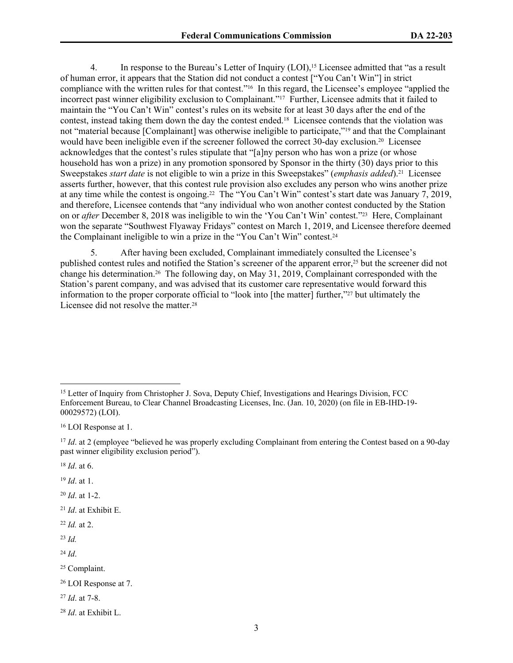4. In response to the Bureau's Letter of Inquiry (LOI),<sup>15</sup> Licensee admitted that "as a result of human error, it appears that the Station did not conduct a contest ["You Can't Win"] in strict compliance with the written rules for that contest."16 In this regard, the Licensee's employee "applied the incorrect past winner eligibility exclusion to Complainant."17 Further, Licensee admits that it failed to maintain the "You Can't Win" contest's rules on its website for at least 30 days after the end of the contest, instead taking them down the day the contest ended.18 Licensee contends that the violation was not "material because [Complainant] was otherwise ineligible to participate,"19 and that the Complainant would have been ineligible even if the screener followed the correct 30-day exclusion.<sup>20</sup> Licensee acknowledges that the contest's rules stipulate that "[a]ny person who has won a prize (or whose household has won a prize) in any promotion sponsored by Sponsor in the thirty (30) days prior to this Sweepstakes *start date* is not eligible to win a prize in this Sweepstakes" (*emphasis added*).21 Licensee asserts further, however, that this contest rule provision also excludes any person who wins another prize at any time while the contest is ongoing.22 The "You Can't Win" contest's start date was January 7, 2019, and therefore, Licensee contends that "any individual who won another contest conducted by the Station on or *after* December 8, 2018 was ineligible to win the 'You Can't Win' contest."23 Here, Complainant won the separate "Southwest Flyaway Fridays" contest on March 1, 2019, and Licensee therefore deemed the Complainant ineligible to win a prize in the "You Can't Win" contest.<sup>24</sup>

5. After having been excluded, Complainant immediately consulted the Licensee's published contest rules and notified the Station's screener of the apparent error,25 but the screener did not change his determination.26 The following day, on May 31, 2019, Complainant corresponded with the Station's parent company, and was advised that its customer care representative would forward this information to the proper corporate official to "look into [the matter] further,"27 but ultimately the Licensee did not resolve the matter.<sup>28</sup>

<sup>20</sup> *Id*. at 1-2.

<sup>21</sup> *Id*. at Exhibit E.

<sup>22</sup> *Id.* at 2.

<sup>23</sup> *Id.*

<sup>24</sup> *Id*.

<sup>25</sup> Complaint.

<sup>27</sup> *Id*. at 7-8.

<sup>&</sup>lt;sup>15</sup> Letter of Inquiry from Christopher J. Sova, Deputy Chief, Investigations and Hearings Division, FCC Enforcement Bureau, to Clear Channel Broadcasting Licenses, Inc. (Jan. 10, 2020) (on file in EB-IHD-19- 00029572) (LOI).

<sup>16</sup> LOI Response at 1.

<sup>&</sup>lt;sup>17</sup> *Id.* at 2 (employee "believed he was properly excluding Complainant from entering the Contest based on a 90-day past winner eligibility exclusion period").

<sup>18</sup> *Id*. at 6.

<sup>19</sup> *Id*. at 1.

<sup>26</sup> LOI Response at 7.

<sup>28</sup> *Id*. at Exhibit L.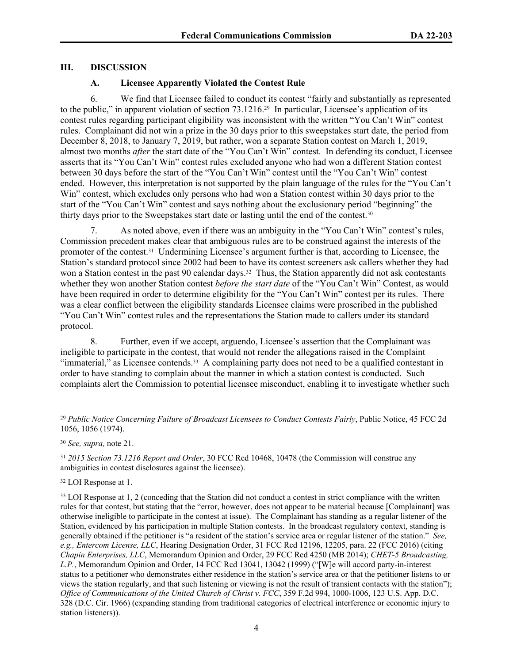### **III. DISCUSSION**

## **A. Licensee Apparently Violated the Contest Rule**

6. We find that Licensee failed to conduct its contest "fairly and substantially as represented to the public," in apparent violation of section 73.1216.29 In particular, Licensee's application of its contest rules regarding participant eligibility was inconsistent with the written "You Can't Win" contest rules. Complainant did not win a prize in the 30 days prior to this sweepstakes start date, the period from December 8, 2018, to January 7, 2019, but rather, won a separate Station contest on March 1, 2019, almost two months *after* the start date of the "You Can't Win" contest. In defending its conduct, Licensee asserts that its "You Can't Win" contest rules excluded anyone who had won a different Station contest between 30 days before the start of the "You Can't Win" contest until the "You Can't Win" contest ended. However, this interpretation is not supported by the plain language of the rules for the "You Can't Win" contest, which excludes only persons who had won a Station contest within 30 days prior to the start of the "You Can't Win" contest and says nothing about the exclusionary period "beginning" the thirty days prior to the Sweepstakes start date or lasting until the end of the contest.<sup>30</sup>

7. As noted above, even if there was an ambiguity in the "You Can't Win" contest's rules, Commission precedent makes clear that ambiguous rules are to be construed against the interests of the promoter of the contest.31 Undermining Licensee's argument further is that, according to Licensee, the Station's standard protocol since 2002 had been to have its contest screeners ask callers whether they had won a Station contest in the past 90 calendar days.<sup>32</sup> Thus, the Station apparently did not ask contestants whether they won another Station contest *before the start date* of the "You Can't Win" Contest, as would have been required in order to determine eligibility for the "You Can't Win" contest per its rules. There was a clear conflict between the eligibility standards Licensee claims were proscribed in the published "You Can't Win" contest rules and the representations the Station made to callers under its standard protocol.

8. Further, even if we accept, arguendo, Licensee's assertion that the Complainant was ineligible to participate in the contest, that would not render the allegations raised in the Complaint "immaterial," as Licensee contends.<sup>33</sup> A complaining party does not need to be a qualified contestant in order to have standing to complain about the manner in which a station contest is conducted. Such complaints alert the Commission to potential licensee misconduct, enabling it to investigate whether such

<sup>32</sup> LOI Response at 1.

<sup>33</sup> LOI Response at 1, 2 (conceding that the Station did not conduct a contest in strict compliance with the written rules for that contest, but stating that the "error, however, does not appear to be material because [Complainant] was otherwise ineligible to participate in the contest at issue). The Complainant has standing as a regular listener of the Station, evidenced by his participation in multiple Station contests. In the broadcast regulatory context, standing is generally obtained if the petitioner is "a resident of the station's service area or regular listener of the station." *See, e.g., Entercom License, LLC*, Hearing Designation Order, 31 FCC Rcd 12196, 12205, para. 22 (FCC 2016) (citing *Chapin Enterprises, LLC*, Memorandum Opinion and Order, 29 FCC Rcd 4250 (MB 2014); *CHET-5 Broadcasting, L.P.*, Memorandum Opinion and Order, 14 FCC Rcd 13041, 13042 (1999) ("[W]e will accord party-in-interest status to a petitioner who demonstrates either residence in the station's service area or that the petitioner listens to or views the station regularly, and that such listening or viewing is not the result of transient contacts with the station"); *Office of Communications of the United Church of Christ v. FCC*, 359 F.2d 994, 1000-1006, 123 U.S. App. D.C. 328 (D.C. Cir. 1966) (expanding standing from traditional categories of electrical interference or economic injury to station listeners)).

<sup>29</sup> *Public Notice Concerning Failure of Broadcast Licensees to Conduct Contests Fairly*, Public Notice, 45 FCC 2d 1056, 1056 (1974).

<sup>30</sup> *See, supra,* note 21.

<sup>31</sup> *2015 Section 73.1216 Report and Order*, 30 FCC Rcd 10468, 10478 (the Commission will construe any ambiguities in contest disclosures against the licensee).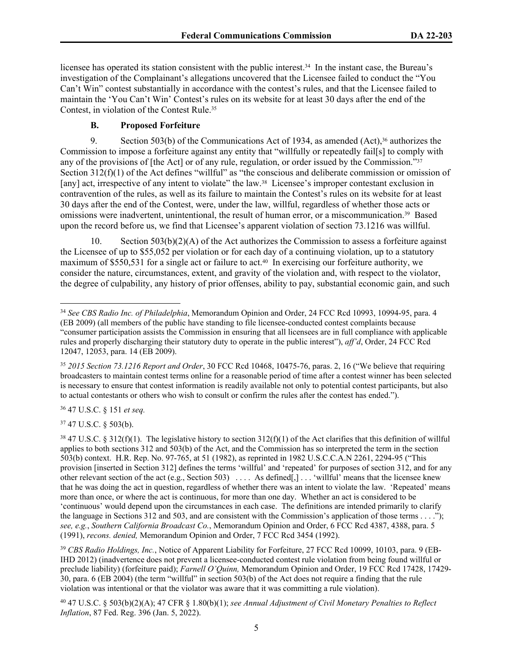licensee has operated its station consistent with the public interest.<sup>34</sup> In the instant case, the Bureau's investigation of the Complainant's allegations uncovered that the Licensee failed to conduct the "You Can't Win" contest substantially in accordance with the contest's rules, and that the Licensee failed to maintain the 'You Can't Win' Contest's rules on its website for at least 30 days after the end of the Contest, in violation of the Contest Rule.<sup>35</sup>

## **B. Proposed Forfeiture**

9. Section 503(b) of the Communications Act of 1934, as amended  $(Act)$ ,<sup>36</sup> authorizes the Commission to impose a forfeiture against any entity that "willfully or repeatedly fail[s] to comply with any of the provisions of [the Act] or of any rule, regulation, or order issued by the Commission."<sup>37</sup> Section 312(f)(1) of the Act defines "willful" as "the conscious and deliberate commission or omission of [any] act, irrespective of any intent to violate" the law.38 Licensee's improper contestant exclusion in contravention of the rules, as well as its failure to maintain the Contest's rules on its website for at least 30 days after the end of the Contest, were, under the law, willful, regardless of whether those acts or omissions were inadvertent, unintentional, the result of human error, or a miscommunication.39 Based upon the record before us, we find that Licensee's apparent violation of section 73.1216 was willful.

10. Section  $503(b)(2)(A)$  of the Act authorizes the Commission to assess a forfeiture against the Licensee of up to \$55,052 per violation or for each day of a continuing violation, up to a statutory maximum of \$550,531 for a single act or failure to act.<sup>40</sup> In exercising our forfeiture authority, we consider the nature, circumstances, extent, and gravity of the violation and, with respect to the violator, the degree of culpability, any history of prior offenses, ability to pay, substantial economic gain, and such

<sup>36</sup> 47 U.S.C. § 151 *et seq.*

<sup>37</sup> 47 U.S.C. § 503(b).

<sup>39</sup> *CBS Radio Holdings, Inc.*, Notice of Apparent Liability for Forfeiture, 27 FCC Rcd 10099, 10103, para. 9 (EB-IHD 2012) (inadvertence does not prevent a licensee-conducted contest rule violation from being found willful or preclude liability) (forfeiture paid); *Farnell O'Quinn,* Memorandum Opinion and Order, 19 FCC Rcd 17428, 17429- 30, para. 6 (EB 2004) (the term "willful" in section 503(b) of the Act does not require a finding that the rule violation was intentional or that the violator was aware that it was committing a rule violation).

<sup>40</sup> 47 U.S.C. § 503(b)(2)(A); 47 CFR § 1.80(b)(1); *see Annual Adjustment of Civil Monetary Penalties to Reflect Inflation*, 87 Fed. Reg. 396 (Jan. 5, 2022).

<sup>34</sup> *See CBS Radio Inc. of Philadelphia*, Memorandum Opinion and Order, 24 FCC Rcd 10993, 10994-95, para. 4 (EB 2009) (all members of the public have standing to file licensee-conducted contest complaints because "consumer participation assists the Commission in ensuring that all licensees are in full compliance with applicable rules and properly discharging their statutory duty to operate in the public interest"), *aff'd*, Order, 24 FCC Rcd 12047, 12053, para. 14 (EB 2009).

<sup>35</sup> *2015 Section 73.1216 Report and Order*, 30 FCC Rcd 10468, 10475-76, paras. 2, 16 ("We believe that requiring broadcasters to maintain contest terms online for a reasonable period of time after a contest winner has been selected is necessary to ensure that contest information is readily available not only to potential contest participants, but also to actual contestants or others who wish to consult or confirm the rules after the contest has ended.").

<sup>&</sup>lt;sup>38</sup> 47 U.S.C. § 312(f)(1). The legislative history to section  $312(f)(1)$  of the Act clarifies that this definition of willful applies to both sections 312 and 503(b) of the Act, and the Commission has so interpreted the term in the section 503(b) context. H.R. Rep. No. 97-765, at 51 (1982), as reprinted in 1982 U.S.C.C.A.N 2261, 2294-95 ("This provision [inserted in Section 312] defines the terms 'willful' and 'repeated' for purposes of section 312, and for any other relevant section of the act (e.g., Section 503) . . . . As defined[,] . . . 'willful' means that the licensee knew that he was doing the act in question, regardless of whether there was an intent to violate the law. 'Repeated' means more than once, or where the act is continuous, for more than one day. Whether an act is considered to be 'continuous' would depend upon the circumstances in each case. The definitions are intended primarily to clarify the language in Sections 312 and 503, and are consistent with the Commission's application of those terms . . . ."); *see, e.g.*, *Southern California Broadcast Co.*, Memorandum Opinion and Order, 6 FCC Rcd 4387, 4388, para. 5 (1991), *recons. denied,* Memorandum Opinion and Order, 7 FCC Rcd 3454 (1992).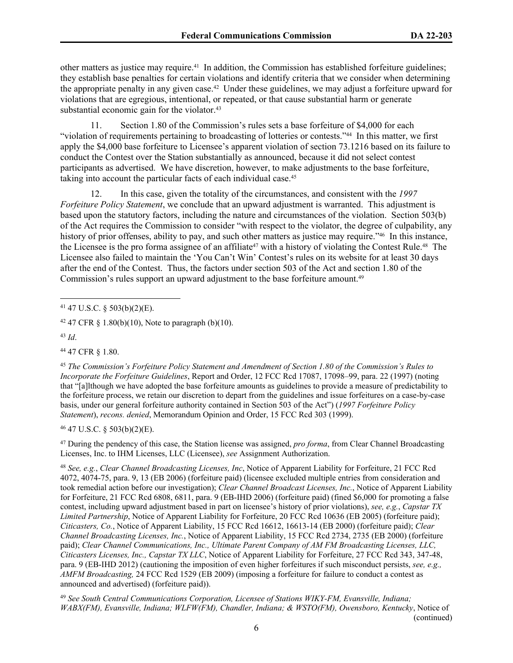other matters as justice may require.41 In addition, the Commission has established forfeiture guidelines; they establish base penalties for certain violations and identify criteria that we consider when determining the appropriate penalty in any given case.42 Under these guidelines, we may adjust a forfeiture upward for violations that are egregious, intentional, or repeated, or that cause substantial harm or generate substantial economic gain for the violator.<sup>43</sup>

11. Section 1.80 of the Commission's rules sets a base forfeiture of \$4,000 for each "violation of requirements pertaining to broadcasting of lotteries or contests."44 In this matter, we first apply the \$4,000 base forfeiture to Licensee's apparent violation of section 73.1216 based on its failure to conduct the Contest over the Station substantially as announced, because it did not select contest participants as advertised. We have discretion, however, to make adjustments to the base forfeiture, taking into account the particular facts of each individual case.<sup>45</sup>

12. In this case, given the totality of the circumstances, and consistent with the *1997 Forfeiture Policy Statement*, we conclude that an upward adjustment is warranted. This adjustment is based upon the statutory factors, including the nature and circumstances of the violation. Section 503(b) of the Act requires the Commission to consider "with respect to the violator, the degree of culpability, any history of prior offenses, ability to pay, and such other matters as justice may require."<sup>46</sup> In this instance, the Licensee is the pro forma assignee of an affiliate<sup>47</sup> with a history of violating the Contest Rule.<sup>48</sup> The Licensee also failed to maintain the 'You Can't Win' Contest's rules on its website for at least 30 days after the end of the Contest. Thus, the factors under section 503 of the Act and section 1.80 of the Commission's rules support an upward adjustment to the base for feiture amount.<sup>49</sup>

<sup>41</sup> 47 U.S.C. § 503(b)(2)(E).

<sup>43</sup> *Id*.

<sup>44</sup> 47 CFR § 1.80.

<sup>45</sup> *The Commission's Forfeiture Policy Statement and Amendment of Section 1.80 of the Commission's Rules to Incorporate the Forfeiture Guidelines*, Report and Order, 12 FCC Rcd 17087, 17098–99, para. 22 (1997) (noting that "[a]lthough we have adopted the base forfeiture amounts as guidelines to provide a measure of predictability to the forfeiture process, we retain our discretion to depart from the guidelines and issue forfeitures on a case-by-case basis, under our general forfeiture authority contained in Section 503 of the Act") (*1997 Forfeiture Policy Statement*), *recons. denied*, Memorandum Opinion and Order, 15 FCC Rcd 303 (1999).

<sup>46</sup> 47 U.S.C. § 503(b)(2)(E).

<sup>47</sup> During the pendency of this case, the Station license was assigned, *pro forma*, from Clear Channel Broadcasting Licenses, Inc. to IHM Licenses, LLC (Licensee), *see* Assignment Authorization.

<sup>48</sup> *See, e.g.*, *Clear Channel Broadcasting Licenses, Inc*, Notice of Apparent Liability for Forfeiture, 21 FCC Rcd 4072, 4074-75, para. 9, 13 (EB 2006) (forfeiture paid) (licensee excluded multiple entries from consideration and took remedial action before our investigation); *Clear Channel Broadcast Licenses, Inc.*, Notice of Apparent Liability for Forfeiture, 21 FCC Rcd 6808, 6811, para. 9 (EB-IHD 2006) (forfeiture paid) (fined \$6,000 for promoting a false contest, including upward adjustment based in part on licensee's history of prior violations), *see, e.g.*, *Capstar TX Limited Partnership*, Notice of Apparent Liability for Forfeiture, 20 FCC Rcd 10636 (EB 2005) (forfeiture paid); *Citicasters, Co.*, Notice of Apparent Liability, 15 FCC Rcd 16612, 16613-14 (EB 2000) (forfeiture paid); *Clear Channel Broadcasting Licenses, Inc.*, Notice of Apparent Liability, 15 FCC Rcd 2734, 2735 (EB 2000) (forfeiture paid); *Clear Channel Communications, Inc., Ultimate Parent Company of AM FM Broadcasting Licenses, LLC*, *Citicasters Licenses, Inc., Capstar TX LLC*, Notice of Apparent Liability for Forfeiture, 27 FCC Rcd 343, 347-48, para. 9 (EB-IHD 2012) (cautioning the imposition of even higher forfeitures if such misconduct persists, *see, e.g., AMFM Broadcasting,* 24 FCC Rcd 1529 (EB 2009) (imposing a forfeiture for failure to conduct a contest as announced and advertised) (forfeiture paid)).

<sup>49</sup> *See South Central Communications Corporation, Licensee of Stations WIKY-FM, Evansville, Indiana; WABX(FM), Evansville, Indiana; WLFW(FM), Chandler, Indiana; & WSTO(FM), Owensboro, Kentucky*, Notice of (continued)

<sup>&</sup>lt;sup>42</sup> 47 CFR § 1.80(b)(10), Note to paragraph (b)(10).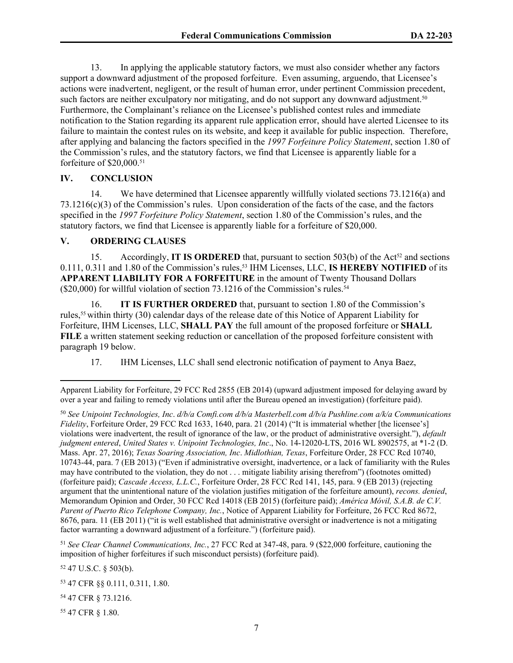13. In applying the applicable statutory factors, we must also consider whether any factors support a downward adjustment of the proposed forfeiture. Even assuming, arguendo, that Licensee's actions were inadvertent, negligent, or the result of human error, under pertinent Commission precedent, such factors are neither exculpatory nor mitigating, and do not support any downward adjustment.<sup>50</sup> Furthermore, the Complainant's reliance on the Licensee's published contest rules and immediate notification to the Station regarding its apparent rule application error, should have alerted Licensee to its failure to maintain the contest rules on its website, and keep it available for public inspection. Therefore, after applying and balancing the factors specified in the *1997 Forfeiture Policy Statement*, section 1.80 of the Commission's rules, and the statutory factors, we find that Licensee is apparently liable for a forfeiture of \$20,000.<sup>51</sup>

#### **IV. CONCLUSION**

14. We have determined that Licensee apparently willfully violated sections 73.1216(a) and 73.1216(c)(3) of the Commission's rules. Upon consideration of the facts of the case, and the factors specified in the *1997 Forfeiture Policy Statement*, section 1.80 of the Commission's rules, and the statutory factors, we find that Licensee is apparently liable for a forfeiture of \$20,000.

#### **V. ORDERING CLAUSES**

15. Accordingly, **IT IS ORDERED** that, pursuant to section 503(b) of the Act<sup>52</sup> and sections 0.111, 0.311 and 1.80 of the Commission's rules,53 IHM Licenses, LLC, **IS HEREBY NOTIFIED** of its **APPARENT LIABILITY FOR A FORFEITURE** in the amount of Twenty Thousand Dollars  $(\$20,000)$  for willful violation of section 73.1216 of the Commission's rules.<sup>54</sup>

16. **IT IS FURTHER ORDERED** that, pursuant to section 1.80 of the Commission's rules,55 within thirty (30) calendar days of the release date of this Notice of Apparent Liability for Forfeiture, IHM Licenses, LLC, **SHALL PAY** the full amount of the proposed forfeiture or **SHALL FILE** a written statement seeking reduction or cancellation of the proposed forfeiture consistent with paragraph 19 below.

17. IHM Licenses, LLC shall send electronic notification of payment to Anya Baez,

<sup>51</sup> *See Clear Channel Communications, Inc.*, 27 FCC Rcd at 347-48, para. 9 (\$22,000 forfeiture, cautioning the imposition of higher forfeitures if such misconduct persists) (forfeiture paid).

<sup>52</sup> 47 U.S.C. § 503(b).

<sup>55</sup> 47 CFR § 1.80.

Apparent Liability for Forfeiture, 29 FCC Rcd 2855 (EB 2014) (upward adjustment imposed for delaying award by over a year and failing to remedy violations until after the Bureau opened an investigation) (forfeiture paid).

<sup>50</sup> *See Unipoint Technologies, Inc*. *d/b/a Comfi.com d/b/a Masterbell.com d/b/a Pushline.com a/k/a Communications Fidelity*, Forfeiture Order, 29 FCC Rcd 1633, 1640, para. 21 (2014) ("It is immaterial whether [the licensee's] violations were inadvertent, the result of ignorance of the law, or the product of administrative oversight."), *default judgment entered*, *United States v. Unipoint Technologies, Inc*., No. 14-12020-LTS, 2016 WL 8902575, at \*1-2 (D. Mass. Apr. 27, 2016); *Texas Soaring Association, Inc*. *Midlothian, Texas*, Forfeiture Order, 28 FCC Rcd 10740, 10743-44, para. 7 (EB 2013) ("Even if administrative oversight, inadvertence, or a lack of familiarity with the Rules may have contributed to the violation, they do not . . . mitigate liability arising therefrom") (footnotes omitted) (forfeiture paid); *Cascade Access, L.L.C.*, Forfeiture Order, 28 FCC Rcd 141, 145, para. 9 (EB 2013) (rejecting argument that the unintentional nature of the violation justifies mitigation of the forfeiture amount), *recons. denied*, Memorandum Opinion and Order, 30 FCC Rcd 14018 (EB 2015) (forfeiture paid); *América Móvil, S.A.B. de C.V. Parent of Puerto Rico Telephone Company, Inc.*, Notice of Apparent Liability for Forfeiture, 26 FCC Rcd 8672, 8676, para. 11 (EB 2011) ("it is well established that administrative oversight or inadvertence is not a mitigating factor warranting a downward adjustment of a forfeiture.") (forfeiture paid).

<sup>53</sup> 47 CFR §§ 0.111, 0.311, 1.80.

<sup>54</sup> 47 CFR § 73.1216.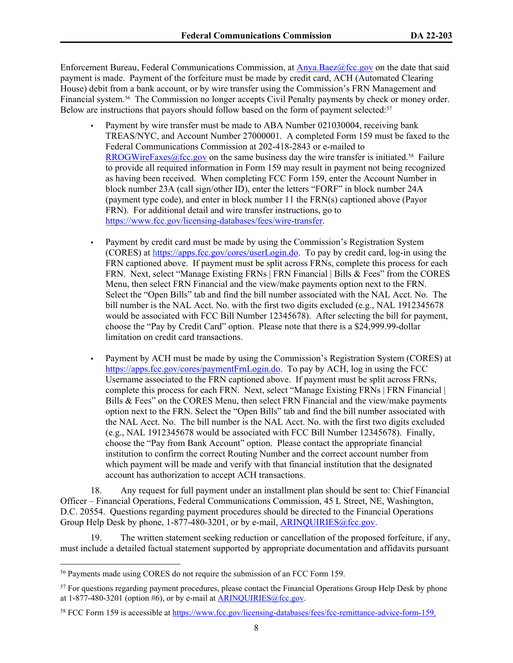Enforcement Bureau, Federal Communications Commission, at [Anya.Baez@fcc.gov](mailto:Anya.Baez@fcc.gov) on the date that said payment is made. Payment of the forfeiture must be made by credit card, ACH (Automated Clearing House) debit from a bank account, or by wire transfer using the Commission's FRN Management and Financial system.56 The Commission no longer accepts Civil Penalty payments by check or money order. Below are instructions that payors should follow based on the form of payment selected:<sup>57</sup>

- Payment by wire transfer must be made to ABA Number 021030004, receiving bank TREAS/NYC, and Account Number 27000001. A completed Form 159 must be faxed to the Federal Communications Commission at 202-418-2843 or e-mailed to [RROGWireFaxes@fcc.gov](mailto:RROGWireFaxes@fcc.gov) on the same business day the wire transfer is initiated.<sup>58</sup> Failure to provide all required information in Form 159 may result in payment not being recognized as having been received. When completing FCC Form 159, enter the Account Number in block number 23A (call sign/other ID), enter the letters "FORF" in block number 24A (payment type code), and enter in block number 11 the FRN(s) captioned above (Payor FRN). For additional detail and wire transfer instructions, go to <https://www.fcc.gov/licensing-databases/fees/wire-transfer>.
- Payment by credit card must be made by using the Commission's Registration System (CORES) at [https://apps.fcc.gov/cores/userLogin.do](https://appsint.fcc.gov/cores/userLogin.do). To pay by credit card, log-in using the FRN captioned above. If payment must be split across FRNs, complete this process for each FRN. Next, select "Manage Existing FRNs | FRN Financial | Bills & Fees" from the CORES Menu, then select FRN Financial and the view/make payments option next to the FRN. Select the "Open Bills" tab and find the bill number associated with the NAL Acct. No. The bill number is the NAL Acct. No. with the first two digits excluded (e.g., NAL 1912345678 would be associated with FCC Bill Number 12345678). After selecting the bill for payment, choose the "Pay by Credit Card" option. Please note that there is a \$24,999.99-dollar limitation on credit card transactions.
- Payment by ACH must be made by using the Commission's Registration System (CORES) at [https://apps.fcc.gov/cores/paymentFrnLogin.do.](https://apps.fcc.gov/cores/paymentFrnLogin.do) To pay by ACH, log in using the FCC Username associated to the FRN captioned above. If payment must be split across FRNs, complete this process for each FRN. Next, select "Manage Existing FRNs | FRN Financial | Bills & Fees" on the CORES Menu, then select FRN Financial and the view/make payments option next to the FRN. Select the "Open Bills" tab and find the bill number associated with the NAL Acct. No. The bill number is the NAL Acct. No. with the first two digits excluded (e.g., NAL 1912345678 would be associated with FCC Bill Number 12345678). Finally, choose the "Pay from Bank Account" option. Please contact the appropriate financial institution to confirm the correct Routing Number and the correct account number from which payment will be made and verify with that financial institution that the designated account has authorization to accept ACH transactions.

18. Any request for full payment under an installment plan should be sent to: Chief Financial Officer – Financial Operations, Federal Communications Commission, 45 L Street, NE, Washington, D.C. 20554. Questions regarding payment procedures should be directed to the Financial Operations Group Help Desk by phone, 1-877-480-3201, or by e-mail, ARINQUIRIES@fcc.gov.

19. The written statement seeking reduction or cancellation of the proposed forfeiture, if any, must include a detailed factual statement supported by appropriate documentation and affidavits pursuant

<sup>56</sup> Payments made using CORES do not require the submission of an FCC Form 159.

<sup>&</sup>lt;sup>57</sup> For questions regarding payment procedures, please contact the Financial Operations Group Help Desk by phone at  $1-877-480-3201$  (option #6), or by e-mail at  $ARINQUIRIES@$  fcc.gov.

<sup>58</sup> FCC Form 159 is accessible at <https://www.fcc.gov/licensing-databases/fees/fcc-remittance-advice-form-159>.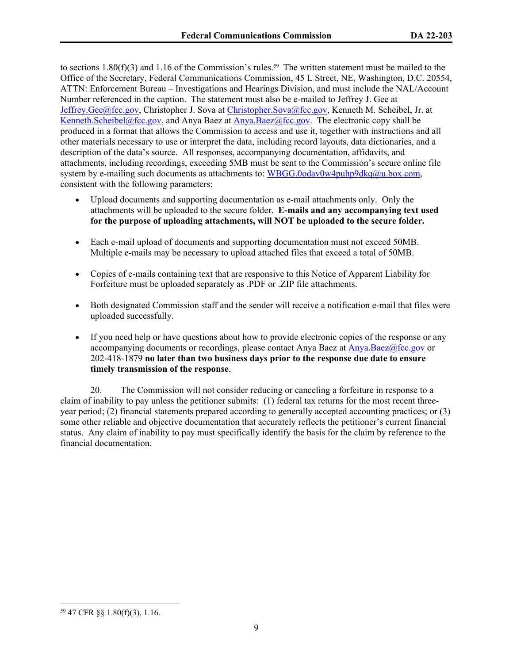to sections 1.80( $f$ )(3) and 1.16 of the Commission's rules.<sup>59</sup> The written statement must be mailed to the Office of the Secretary, Federal Communications Commission, 45 L Street, NE, Washington, D.C. 20554, ATTN: Enforcement Bureau – Investigations and Hearings Division, and must include the NAL/Account Number referenced in the caption. The statement must also be e-mailed to Jeffrey J. Gee at Jeffrey.Gee@fcc.gov, Christopher J. Sova at Christopher.Sova@fcc.gov, Kenneth M. Scheibel, Jr. at [Kenneth.Scheibel@fcc.gov,](mailto:Kenneth.Scheibel@fcc.gov) and Anya Baez at [Anya.Baez@fcc.gov](mailto:Anya.Baez@fcc.gov). The electronic copy shall be produced in a format that allows the Commission to access and use it, together with instructions and all other materials necessary to use or interpret the data, including record layouts, data dictionaries, and a description of the data's source. All responses, accompanying documentation, affidavits, and attachments, including recordings, exceeding 5MB must be sent to the Commission's secure online file system by e-mailing such documents as attachments to: [WBGG.0odav0w4puhp9dkq@u.box.com,](mailto:WBGG.0odav0w4puhp9dkq@u.box.com) consistent with the following parameters:

- Upload documents and supporting documentation as e-mail attachments only. Only the attachments will be uploaded to the secure folder. **E-mails and any accompanying text used for the purpose of uploading attachments, will NOT be uploaded to the secure folder.**
- Each e-mail upload of documents and supporting documentation must not exceed 50MB. Multiple e-mails may be necessary to upload attached files that exceed a total of 50MB.
- Copies of e-mails containing text that are responsive to this Notice of Apparent Liability for Forfeiture must be uploaded separately as .PDF or .ZIP file attachments.
- Both designated Commission staff and the sender will receive a notification e-mail that files were uploaded successfully.
- If you need help or have questions about how to provide electronic copies of the response or any accompanying documents or recordings, please contact Anya Baez at [Anya.Baez@fcc.gov](mailto:Anya.Baez@fcc.gov) or 202-418-1879 **no later than two business days prior to the response due date to ensure timely transmission of the response**.

20. The Commission will not consider reducing or canceling a forfeiture in response to a claim of inability to pay unless the petitioner submits: (1) federal tax returns for the most recent threeyear period; (2) financial statements prepared according to generally accepted accounting practices; or (3) some other reliable and objective documentation that accurately reflects the petitioner's current financial status. Any claim of inability to pay must specifically identify the basis for the claim by reference to the financial documentation.

<sup>59</sup> 47 CFR §§ 1.80(f)(3), 1.16.